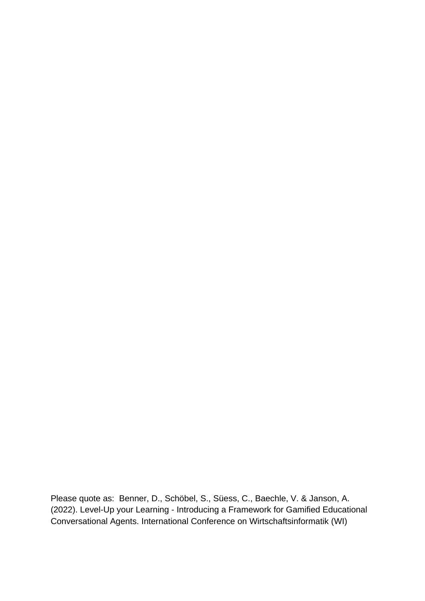Please quote as: Benner, D., Schöbel, S., Süess, C., Baechle, V. & Janson, A. (2022). Level-Up your Learning - Introducing a Framework for Gamified Educational Conversational Agents. International Conference on Wirtschaftsinformatik (WI)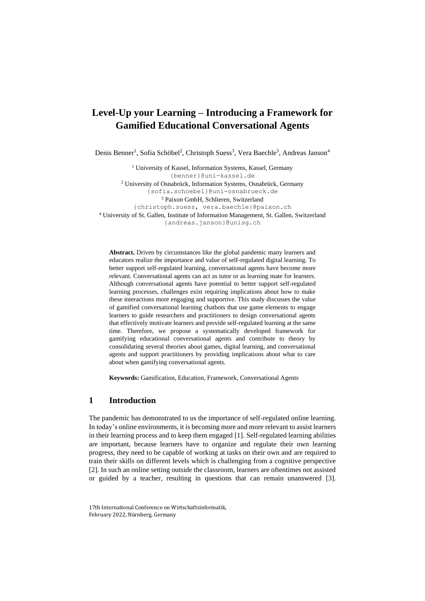# **Level-Up your Learning – Introducing a Framework for Gamified Educational Conversational Agents**

Denis Benner<sup>1</sup>, Sofia Schöbel<sup>2</sup>, Christoph Suess<sup>3</sup>, Vera Baechle<sup>3</sup>, Andreas Janson<sup>4</sup>

<sup>1</sup> University of Kassel, Information Systems, Kassel, Germany {benner}@uni-kassel.de <sup>2</sup> University of Osnabrück, Information Systems, Osnabrück, Germany [{sofia.schoebel}@uni-osnabrueck.de](mailto:%7bsofia.schoebel%7d@uni-osnabrueck.de) <sup>3</sup> Paixon GmbH, Schlieren, Switzerland {christoph.suess, [vera.baechle}@paixon.ch](mailto:vera.baechle%7d@paixon.ch) <sup>4</sup> University of St. Gallen, Institute of Information Management, St. Gallen, Switzerland {andreas.janson}@unisg.ch

**Abstract.** Driven by circumstances like the global pandemic many learners and educators realize the importance and value of self-regulated digital learning. To better support self-regulated learning, conversational agents have become more relevant. Conversational agents can act as tutor or as learning mate for learners. Although conversational agents have potential to better support self-regulated learning processes, challenges exist requiring implications about how to make these interactions more engaging and supportive. This study discusses the value of gamified conversational learning chatbots that use game elements to engage learners to guide researchers and practitioners to design conversational agents that effectively motivate learners and provide self-regulated learning at the same time. Therefore, we propose a systematically developed framework for gamifying educational conversational agents and contribute to theory by consolidating several theories about games, digital learning, and conversational agents and support practitioners by providing implications about what to care about when gamifying conversational agents.

**Keywords:** Gamification, Education, Framework, Conversational Agents

### **1 Introduction**

The pandemic has demonstrated to us the importance of self-regulated online learning. In today's online environments, it is becoming more and more relevant to assist learners in their learning process and to keep them engaged [1]. Self-regulated learning abilities are important, because learners have to organize and regulate their own learning progress, they need to be capable of working at tasks on their own and are required to train their skills on different levels which is challenging from a cognitive perspective [2]. In such an online setting outside the classroom, learners are oftentimes not assisted or guided by a teacher, resulting in questions that can remain unanswered [3].

<sup>17</sup>th International Conference on Wirtschaftsinformatik, February 2022, Nürnberg, Germany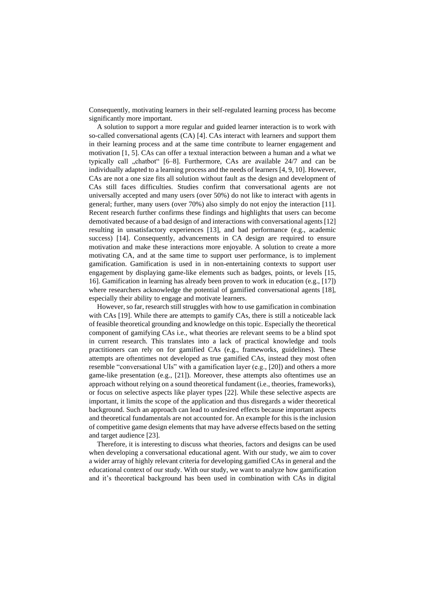Consequently, motivating learners in their self-regulated learning process has become significantly more important.

A solution to support a more regular and guided learner interaction is to work with so-called conversational agents (CA) [4]. CAs interact with learners and support them in their learning process and at the same time contribute to learner engagement and motivation [1, 5]. CAs can offer a textual interaction between a human and a what we typically call "chatbot"  $[6-8]$ . Furthermore, CAs are available  $24/7$  and can be individually adapted to a learning process and the needs of learners [4, 9, 10]. However, CAs are not a one size fits all solution without fault as the design and development of CAs still faces difficulties. Studies confirm that conversational agents are not universally accepted and many users (over 50%) do not like to interact with agents in general; further, many users (over 70%) also simply do not enjoy the interaction [11]. Recent research further confirms these findings and highlights that users can become demotivated because of a bad design of and interactions with conversational agents [12] resulting in unsatisfactory experiences [13], and bad performance (e.g., academic success) [14]. Consequently, advancements in CA design are required to ensure motivation and make these interactions more enjoyable. A solution to create a more motivating CA, and at the same time to support user performance, is to implement gamification. Gamification is used in in non-entertaining contexts to support user engagement by displaying game-like elements such as badges, points, or levels [15, 16]. Gamification in learning has already been proven to work in education (e.g., [17]) where researchers acknowledge the potential of gamified conversational agents [18], especially their ability to engage and motivate learners.

However, so far, research still struggles with how to use gamification in combination with CAs [19]. While there are attempts to gamify CAs, there is still a noticeable lack of feasible theoretical grounding and knowledge on this topic. Especially the theoretical component of gamifying CAs i.e., what theories are relevant seems to be a blind spot in current research. This translates into a lack of practical knowledge and tools practitioners can rely on for gamified CAs (e.g., frameworks, guidelines). These attempts are oftentimes not developed as true gamified CAs, instead they most often resemble "conversational UIs" with a gamification layer (e.g., [20]) and others a more game-like presentation (e.g., [21]). Moreover, these attempts also oftentimes use an approach without relying on a sound theoretical fundament (i.e., theories, frameworks), or focus on selective aspects like player types [22]. While these selective aspects are important, it limits the scope of the application and thus disregards a wider theoretical background. Such an approach can lead to undesired effects because important aspects and theoretical fundamentals are not accounted for. An example for this is the inclusion of competitive game design elements that may have adverse effects based on the setting and target audience [23].

Therefore, it is interesting to discuss what theories, factors and designs can be used when developing a conversational educational agent. With our study, we aim to cover a wider array of highly relevant criteria for developing gamified CAs in general and the educational context of our study. With our study, we want to analyze how gamification and it's theoretical background has been used in combination with CAs in digital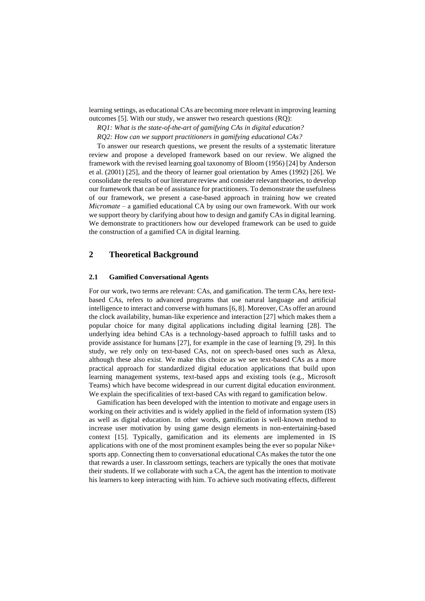learning settings, as educational CAs are becoming more relevant in improving learning outcomes [5]. With our study, we answer two research questions (RQ):

*RQ1: What is the state-of-the-art of gamifying CAs in digital education? RQ2: How can we support practitioners in gamifying educational CAs?*

To answer our research questions, we present the results of a systematic literature review and propose a developed framework based on our review. We aligned the framework with the revised learning goal taxonomy of Bloom (1956) [24] by Anderson et al. (2001) [25], and the theory of learner goal orientation by Ames (1992) [26]. We consolidate the results of our literature review and consider relevant theories, to develop our framework that can be of assistance for practitioners. To demonstrate the usefulness of our framework, we present a case-based approach in training how we created *Micromate* – a gamified educational CA by using our own framework. With our work we support theory by clarifying about how to design and gamify CAs in digital learning. We demonstrate to practitioners how our developed framework can be used to guide the construction of a gamified CA in digital learning.

## **2 Theoretical Background**

### **2.1 Gamified Conversational Agents**

For our work, two terms are relevant: CAs, and gamification. The term CAs, here textbased CAs, refers to advanced programs that use natural language and artificial intelligence to interact and converse with humans [6, 8]. Moreover, CAs offer an around the clock availability, human-like experience and interaction [27] which makes them a popular choice for many digital applications including digital learning [28]. The underlying idea behind CAs is a technology-based approach to fulfill tasks and to provide assistance for humans [27], for example in the case of learning [9, 29]. In this study, we rely only on text-based CAs, not on speech-based ones such as Alexa, although these also exist. We make this choice as we see text-based CAs as a more practical approach for standardized digital education applications that build upon learning management systems, text-based apps and existing tools (e.g., Microsoft Teams) which have become widespread in our current digital education environment. We explain the specificalities of text-based CAs with regard to gamification below.

Gamification has been developed with the intention to motivate and engage users in working on their activities and is widely applied in the field of information system (IS) as well as digital education. In other words, gamification is well-known method to increase user motivation by using game design elements in non-entertaining-based context [15]. Typically, gamification and its elements are implemented in IS applications with one of the most prominent examples being the ever so popular Nike+ sports app. Connecting them to conversational educational CAs makes the tutor the one that rewards a user. In classroom settings, teachers are typically the ones that motivate their students. If we collaborate with such a CA, the agent has the intention to motivate his learners to keep interacting with him. To achieve such motivating effects, different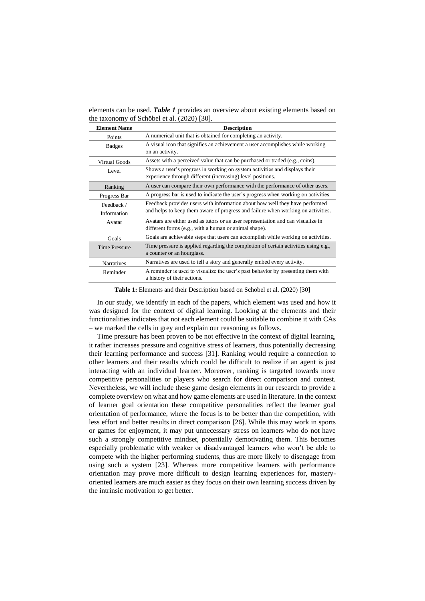elements can be used. *Table 1* provides an overview about existing elements based on the taxonomy of Schöbel et al. (2020) [30].

| <b>Element Name</b>       | <b>Description</b>                                                                                                                                              |
|---------------------------|-----------------------------------------------------------------------------------------------------------------------------------------------------------------|
| Points                    | A numerical unit that is obtained for completing an activity.                                                                                                   |
| <b>Badges</b>             | A visual icon that signifies an achievement a user accomplishes while working<br>on an activity.                                                                |
| Virtual Goods             | Assets with a perceived value that can be purchased or traded (e.g., coins).                                                                                    |
| Level                     | Shows a user's progress in working on system activities and displays their<br>experience through different (increasing) level positions.                        |
| Ranking                   | A user can compare their own performance with the performance of other users.                                                                                   |
| Progress Bar              | A progress bar is used to indicate the user's progress when working on activities.                                                                              |
| Feedback /<br>Information | Feedback provides users with information about how well they have performed<br>and helps to keep them aware of progress and failure when working on activities. |
| Avatar                    | Avatars are either used as tutors or as user representation and can visualize in<br>different forms (e.g., with a human or animal shape).                       |
| Goals                     | Goals are achievable steps that users can accomplish while working on activities.                                                                               |
| <b>Time Pressure</b>      | Time pressure is applied regarding the completion of certain activities using e.g.,<br>a counter or an hourglass.                                               |
| <b>Narratives</b>         | Narratives are used to tell a story and generally embed every activity.                                                                                         |
| Reminder                  | A reminder is used to visualize the user's past behavior by presenting them with<br>a history of their actions.                                                 |

**Table 1:** Elements and their Description based on Schöbel et al. (2020) [30]

In our study, we identify in each of the papers, which element was used and how it was designed for the context of digital learning. Looking at the elements and their functionalities indicates that not each element could be suitable to combine it with CAs – we marked the cells in grey and explain our reasoning as follows.

Time pressure has been proven to be not effective in the context of digital learning, it rather increases pressure and cognitive stress of learners, thus potentially decreasing their learning performance and success [31]. Ranking would require a connection to other learners and their results which could be difficult to realize if an agent is just interacting with an individual learner. Moreover, ranking is targeted towards more competitive personalities or players who search for direct comparison and contest. Nevertheless, we will include these game design elements in our research to provide a complete overview on what and how game elements are used in literature. In the context of learner goal orientation these competitive personalities reflect the learner goal orientation of performance, where the focus is to be better than the competition, with less effort and better results in direct comparison [26]. While this may work in sports or games for enjoyment, it may put unnecessary stress on learners who do not have such a strongly competitive mindset, potentially demotivating them. This becomes especially problematic with weaker or disadvantaged learners who won't be able to compete with the higher performing students, thus are more likely to disengage from using such a system [23]. Whereas more competitive learners with performance orientation may prove more difficult to design learning experiences for, masteryoriented learners are much easier as they focus on their own learning success driven by the intrinsic motivation to get better.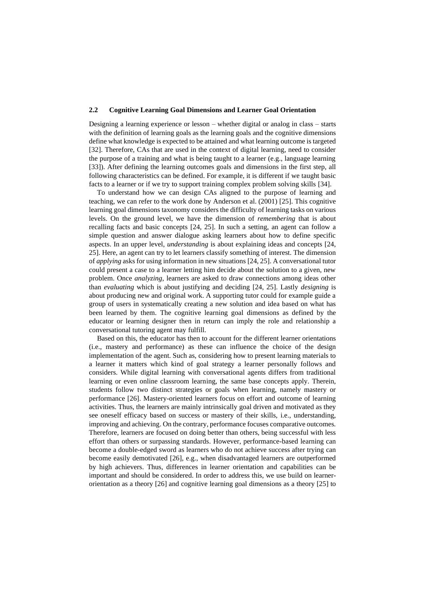#### **2.2 Cognitive Learning Goal Dimensions and Learner Goal Orientation**

Designing a learning experience or lesson – whether digital or analog in class – starts with the definition of learning goals as the learning goals and the cognitive dimensions define what knowledge is expected to be attained and what learning outcome is targeted [32]. Therefore, CAs that are used in the context of digital learning, need to consider the purpose of a training and what is being taught to a learner (e.g., language learning [33]). After defining the learning outcomes goals and dimensions in the first step, all following characteristics can be defined. For example, it is different if we taught basic facts to a learner or if we try to support training complex problem solving skills [34].

To understand how we can design CAs aligned to the purpose of learning and teaching, we can refer to the work done by Anderson et al. (2001) [25]. This cognitive learning goal dimensions taxonomy considers the difficulty of learning tasks on various levels. On the ground level, we have the dimension of *remembering* that is about recalling facts and basic concepts [24, 25]. In such a setting, an agent can follow a simple question and answer dialogue asking learners about how to define specific aspects. In an upper level, *understanding* is about explaining ideas and concepts [24, 25]. Here, an agent can try to let learners classify something of interest. The dimension of *applying* asks for using information in new situations [24, 25]. A conversational tutor could present a case to a learner letting him decide about the solution to a given, new problem. Once *analyzing*, learners are asked to draw connections among ideas other than *evaluating* which is about justifying and deciding [24, 25]. Lastly *designing* is about producing new and original work. A supporting tutor could for example guide a group of users in systematically creating a new solution and idea based on what has been learned by them. The cognitive learning goal dimensions as defined by the educator or learning designer then in return can imply the role and relationship a conversational tutoring agent may fulfill.

Based on this, the educator has then to account for the different learner orientations (i.e., mastery and performance) as these can influence the choice of the design implementation of the agent. Such as, considering how to present learning materials to a learner it matters which kind of goal strategy a learner personally follows and considers. While digital learning with conversational agents differs from traditional learning or even online classroom learning, the same base concepts apply. Therein, students follow two distinct strategies or goals when learning, namely mastery or performance [26]. Mastery-oriented learners focus on effort and outcome of learning activities. Thus, the learners are mainly intrinsically goal driven and motivated as they see oneself efficacy based on success or mastery of their skills, i.e., understanding, improving and achieving. On the contrary, performance focuses comparative outcomes. Therefore, learners are focused on doing better than others, being successful with less effort than others or surpassing standards. However, performance-based learning can become a double-edged sword as learners who do not achieve success after trying can become easily demotivated [26], e.g., when disadvantaged learners are outperformed by high achievers. Thus, differences in learner orientation and capabilities can be important and should be considered. In order to address this, we use build on learnerorientation as a theory [26] and cognitive learning goal dimensions as a theory [25] to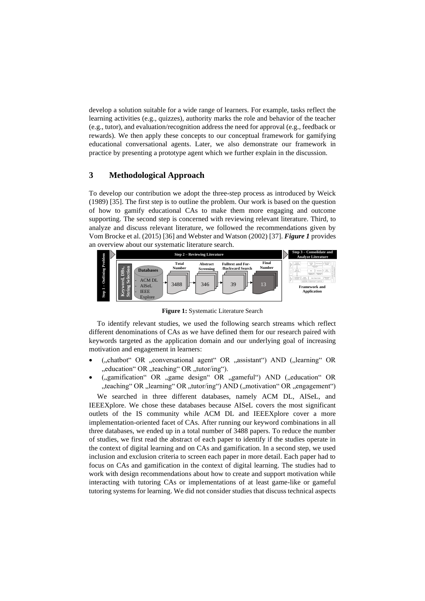develop a solution suitable for a wide range of learners. For example, tasks reflect the learning activities (e.g., quizzes), authority marks the role and behavior of the teacher (e.g., tutor), and evaluation/recognition address the need for approval (e.g., feedback or rewards). We then apply these concepts to our conceptual framework for gamifying educational conversational agents. Later, we also demonstrate our framework in practice by presenting a prototype agent which we further explain in the discussion.

# **3 Methodological Approach**

To develop our contribution we adopt the three-step process as introduced by Weick (1989) [35]. The first step is to outline the problem. Our work is based on the question of how to gamify educational CAs to make them more engaging and outcome supporting. The second step is concerned with reviewing relevant literature. Third, to analyze and discuss relevant literature, we followed the recommendations given by Vom Brocke et al. (2015) [36] and Webster and Watson (2002) [37]. *Figure 1* provides an overview about our systematic literature search.



**Figure 1:** Systematic Literature Search

To identify relevant studies, we used the following search streams which reflect different denominations of CAs as we have defined them for our research paired with keywords targeted as the application domain and our underlying goal of increasing motivation and engagement in learners:

- ("chatbot" OR "conversational agent" OR "assistant") AND ("learning" OR ", education" OR "teaching" OR "tutor/ing").
- ("gamification" OR "game design" OR "gameful") AND ("education" OR , teaching " OR , learning " OR , tutor/ing " AND (, motivation " OR , engagement")

We searched in three different databases, namely ACM DL, AISeL, and IEEEXplore. We chose these databases because AISeL covers the most significant outlets of the IS community while ACM DL and IEEEXplore cover a more implementation-oriented facet of CAs. After running our keyword combinations in all three databases, we ended up in a total number of 3488 papers. To reduce the number of studies, we first read the abstract of each paper to identify if the studies operate in the context of digital learning and on CAs and gamification. In a second step, we used inclusion and exclusion criteria to screen each paper in more detail. Each paper had to focus on CAs and gamification in the context of digital learning. The studies had to work with design recommendations about how to create and support motivation while interacting with tutoring CAs or implementations of at least game-like or gameful tutoring systems for learning. We did not consider studies that discuss technical aspects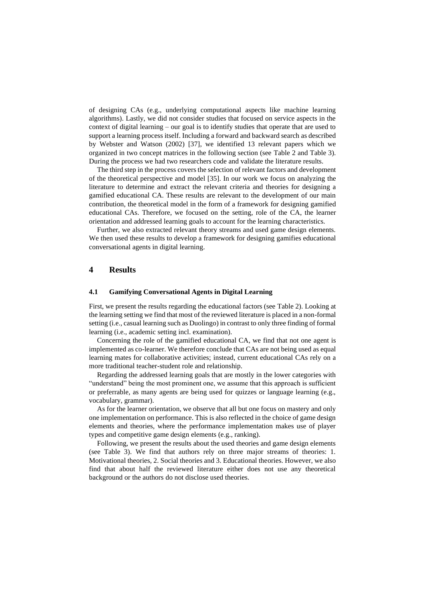of designing CAs (e.g., underlying computational aspects like machine learning algorithms). Lastly, we did not consider studies that focused on service aspects in the context of digital learning – our goal is to identify studies that operate that are used to support a learning process itself. Including a forward and backward search as described by Webster and Watson (2002) [37], we identified 13 relevant papers which we organized in two concept matrices in the following section (see Table 2 and Table 3). During the process we had two researchers code and validate the literature results.

The third step in the process covers the selection of relevant factors and development of the theoretical perspective and model [35]. In our work we focus on analyzing the literature to determine and extract the relevant criteria and theories for designing a gamified educational CA. These results are relevant to the development of our main contribution, the theoretical model in the form of a framework for designing gamified educational CAs. Therefore, we focused on the setting, role of the CA, the learner orientation and addressed learning goals to account for the learning characteristics.

Further, we also extracted relevant theory streams and used game design elements. We then used these results to develop a framework for designing gamifies educational conversational agents in digital learning.

### **4 Results**

#### **4.1 Gamifying Conversational Agents in Digital Learning**

First, we present the results regarding the educational factors (see Table 2). Looking at the learning setting we find that most of the reviewed literature is placed in a non-formal setting (i.e., casual learning such as Duolingo) in contrast to only three finding of formal learning (i.e., academic setting incl. examination).

Concerning the role of the gamified educational CA, we find that not one agent is implemented as co-learner. We therefore conclude that CAs are not being used as equal learning mates for collaborative activities; instead, current educational CAs rely on a more traditional teacher-student role and relationship.

Regarding the addressed learning goals that are mostly in the lower categories with "understand" being the most prominent one, we assume that this approach is sufficient or preferrable, as many agents are being used for quizzes or language learning (e.g., vocabulary, grammar).

As for the learner orientation, we observe that all but one focus on mastery and only one implementation on performance. This is also reflected in the choice of game design elements and theories, where the performance implementation makes use of player types and competitive game design elements (e.g., ranking).

Following, we present the results about the used theories and game design elements (see Table 3). We find that authors rely on three major streams of theories: 1. Motivational theories, 2. Social theories and 3. Educational theories. However, we also find that about half the reviewed literature either does not use any theoretical background or the authors do not disclose used theories.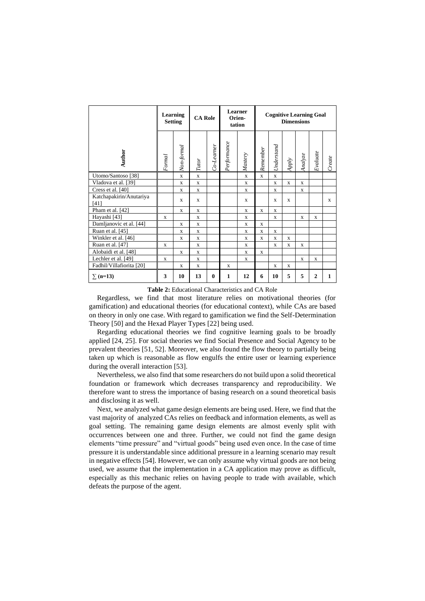|                                 | Learning<br><b>Setting</b> |             | <b>CA Role</b> |              | <b>Learner</b><br>Orien-<br>tation |             | <b>Cognitive Learning Goal</b><br><b>Dimensions</b> |             |             |              |              |              |  |
|---------------------------------|----------------------------|-------------|----------------|--------------|------------------------------------|-------------|-----------------------------------------------------|-------------|-------------|--------------|--------------|--------------|--|
| Author                          | Fornal                     | Non-formal  | Tutor          | Co-Learner   | Performance                        | Mastery     | Remember                                            | Understand  | Apply       | Analyze      | Evaluate     | Create       |  |
| Utomo/Santoso <sup>[38]</sup>   |                            | $\mathbf x$ | $\mathbf x$    |              |                                    | $\mathbf x$ | $\mathbf{X}$                                        | $\mathbf x$ |             |              |              |              |  |
| Vladova et al. [39]             |                            | X           | X              |              |                                    | $\mathbf x$ |                                                     | $\mathbf x$ | $\mathbf x$ | $\mathbf x$  |              |              |  |
| Cress et al. [40]               |                            | $\mathbf x$ | $\mathbf x$    |              |                                    | $\mathbf x$ |                                                     | $\mathbf x$ |             | $\mathbf x$  |              |              |  |
| Katchapakirin/Anutariya<br>[41] |                            | X           | X              |              |                                    | X           |                                                     | X           | X           |              |              | X            |  |
| Pham et al. [42]                |                            | $\mathbf x$ | $\mathbf x$    |              |                                    | $\mathbf x$ | $\mathbf{x}$                                        | $\mathbf x$ |             |              |              |              |  |
| Hayashi [43]                    | X                          |             | X              |              |                                    | X           |                                                     | X           |             | X            | X            |              |  |
| Damljanovic et al. [44]         |                            | $\mathbf x$ | $\mathbf x$    |              |                                    | $\mathbf x$ | $\mathbf x$                                         |             |             |              |              |              |  |
| Ruan et al. [45]                |                            | X           | $\mathbf x$    |              |                                    | X           | X                                                   | X           |             |              |              |              |  |
| Winkler et al. [46]             |                            | $\mathbf x$ | X              |              |                                    | X           | $\mathbf x$                                         | $\mathbf x$ | $\mathbf x$ |              |              |              |  |
| Ruan et al. [47]                | X                          |             | $\mathbf x$    |              |                                    | $\mathbf x$ |                                                     | $\mathbf x$ | $\mathbf x$ | X            |              |              |  |
| Alobaidi et al. [48]            |                            | $\mathbf x$ | $\mathbf x$    |              |                                    | $\mathbf x$ | $\mathbf x$                                         |             |             |              |              |              |  |
| Lechler et al. [49]             | $\mathbf{X}$               |             | $\mathbf x$    |              |                                    | $\mathbf x$ |                                                     |             |             | $\mathbf{X}$ | $\mathbf x$  |              |  |
| Fadhil/Villafiorita [20]        |                            | X           | $\mathbf x$    |              | X                                  |             |                                                     | X           | X           |              |              |              |  |
| $\Sigma$ (n=13)                 | 3                          | 10          | 13             | $\mathbf{0}$ | $\mathbf{1}$                       | 12          | 6                                                   | 10          | 5           | 5            | $\mathbf{2}$ | $\mathbf{1}$ |  |

**Table 2:** Educational Characteristics and CA Role

Regardless, we find that most literature relies on motivational theories (for gamification) and educational theories (for educational context), while CAs are based on theory in only one case. With regard to gamification we find the Self-Determination Theory [50] and the Hexad Player Types [22] being used.

Regarding educational theories we find cognitive learning goals to be broadly applied [24, 25]. For social theories we find Social Presence and Social Agency to be prevalent theories [51, 52]. Moreover, we also found the flow theory to partially being taken up which is reasonable as flow engulfs the entire user or learning experience during the overall interaction [53].

Nevertheless, we also find that some researchers do not build upon a solid theoretical foundation or framework which decreases transparency and reproducibility. We therefore want to stress the importance of basing research on a sound theoretical basis and disclosing it as well.

Next, we analyzed what game design elements are being used. Here, we find that the vast majority of analyzed CAs relies on feedback and information elements, as well as goal setting. The remaining game design elements are almost evenly split with occurrences between one and three. Further, we could not find the game design elements "time pressure" and "virtual goods" being used even once. In the case of time pressure it is understandable since additional pressure in a learning scenario may result in negative effects [54]. However, we can only assume why virtual goods are not being used, we assume that the implementation in a CA application may prove as difficult, especially as this mechanic relies on having people to trade with available, which defeats the purpose of the agent.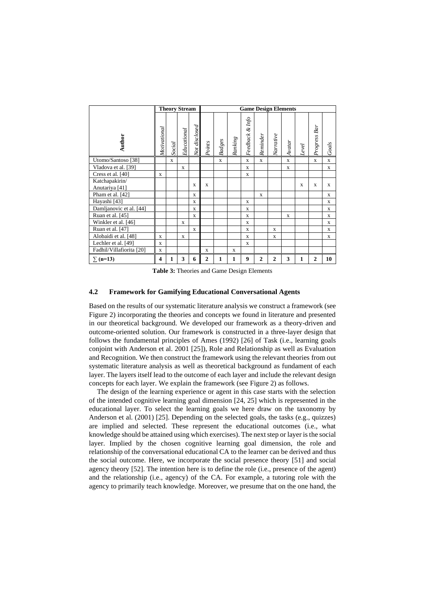|                          | <b>Theory Stream</b> | <b>Game Design Elements</b> |             |               |              |               |              |                  |              |              |              |             |              |              |
|--------------------------|----------------------|-----------------------------|-------------|---------------|--------------|---------------|--------------|------------------|--------------|--------------|--------------|-------------|--------------|--------------|
| Author                   | Motivational         | Social                      | Educational | Not disclosed | Points       | <b>Badges</b> | Ranking      | Feedback & Info  | Reminder     | Narrative    | Avatar       | Level       | Progress Bar | Goals        |
| Utomo/Santoso [38]       |                      | $\mathbf{x}$                |             |               |              | $\mathbf{x}$  |              | $\mathbf x$      | $\mathbf{x}$ |              | $\mathbf{X}$ |             | X            | $\mathbf{X}$ |
| Vladova et al. [39]      |                      |                             | $\mathbf x$ |               |              |               |              | $\mathbf x$      |              |              | $\mathbf x$  |             |              | $\mathbf x$  |
| Cress et al. [40]        | X                    |                             |             |               |              |               |              | $\mathbf x$      |              |              |              |             |              |              |
| Katchapakirin/           |                      |                             |             | $\mathbf x$   | $\mathbf x$  |               |              |                  |              |              |              | $\mathbf x$ | $\mathbf x$  | $\mathbf x$  |
| Anutariya [41]           |                      |                             |             |               |              |               |              |                  |              |              |              |             |              |              |
| Pham et al. [42]         |                      |                             |             | $\mathbf x$   |              |               |              |                  | X            |              |              |             |              | X            |
| Hayashi [43]             |                      |                             |             | X             |              |               |              | X                |              |              |              |             |              | X            |
| Damljanovic et al. [44]  |                      |                             |             | $\mathbf x$   |              |               |              | X                |              |              |              |             |              | $\mathbf{X}$ |
| Ruan et al. [45]         |                      |                             |             | $\mathbf x$   |              |               |              | $\mathbf x$      |              |              | $\mathbf x$  |             |              | $\mathbf{x}$ |
| Winkler et al. [46]      |                      |                             | X           |               |              |               |              | $\mathbf x$      |              |              |              |             |              | X            |
| Ruan et al. [47]         |                      |                             |             | $\mathbf x$   |              |               |              | $\mathbf x$      |              | X            |              |             |              | $\mathbf{x}$ |
| Alobaidi et al. [48]     | $\mathbf{x}$         |                             | X           |               |              |               |              | $\mathbf x$      |              | X            |              |             |              | X            |
| Lechler et al. [49]      | $\mathbf{X}$         |                             |             |               |              |               |              | $\mathbf x$      |              |              |              |             |              |              |
| Fadhil/Villafiorita [20] | $\mathbf x$          |                             |             |               | X            |               | X            |                  |              |              |              |             |              |              |
| $\Sigma$ (n=13)          | 4                    | 1                           | 3           | 6             | $\mathbf{2}$ | 1             | $\mathbf{1}$ | $\boldsymbol{9}$ | $\mathbf{2}$ | $\mathbf{2}$ | 3            | 1           | $\mathbf{2}$ | 10           |

**Table 3:** Theories and Game Design Elements

### **4.2 Framework for Gamifying Educational Conversational Agents**

Based on the results of our systematic literature analysis we construct a framework (see Figure 2) incorporating the theories and concepts we found in literature and presented in our theoretical background. We developed our framework as a theory-driven and outcome-oriented solution. Our framework is constructed in a three-layer design that follows the fundamental principles of Ames (1992) [26] of Task (i.e., learning goals conjoint with Anderson et al. 2001 [25]), Role and Relationship as well as Evaluation and Recognition. We then construct the framework using the relevant theories from out systematic literature analysis as well as theoretical background as fundament of each layer. The layers itself lead to the outcome of each layer and include the relevant design concepts for each layer. We explain the framework (see Figure 2) as follows.

The design of the learning experience or agent in this case starts with the selection of the intended cognitive learning goal dimension [24, 25] which is represented in the educational layer. To select the learning goals we here draw on the taxonomy by Anderson et al. (2001) [25]. Depending on the selected goals, the tasks (e.g., quizzes) are implied and selected. These represent the educational outcomes (i.e., what knowledge should be attained using which exercises). The next step or layer is the social layer. Implied by the chosen cognitive learning goal dimension, the role and relationship of the conversational educational CA to the learner can be derived and thus the social outcome. Here, we incorporate the social presence theory [51] and social agency theory [52]. The intention here is to define the role (i.e., presence of the agent) and the relationship (i.e., agency) of the CA. For example, a tutoring role with the agency to primarily teach knowledge. Moreover, we presume that on the one hand, the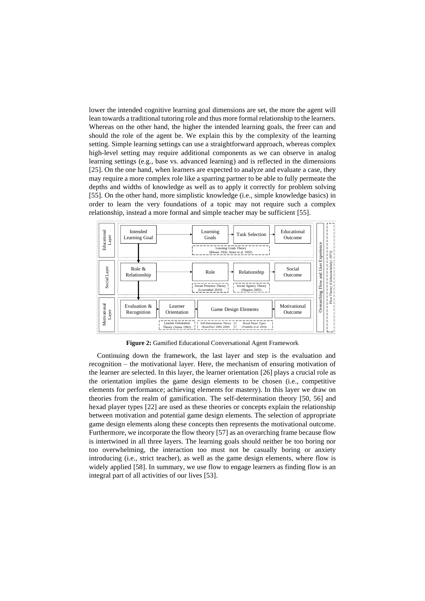lower the intended cognitive learning goal dimensions are set, the more the agent will lean towards a traditional tutoring role and thus more formal relationship to the learners. Whereas on the other hand, the higher the intended learning goals, the freer can and should the role of the agent be. We explain this by the complexity of the learning setting. Simple learning settings can use a straightforward approach, whereas complex high-level setting may require additional components as we can observe in analog learning settings (e.g., base vs. advanced learning) and is reflected in the dimensions [25]. On the one hand, when learners are expected to analyze and evaluate a case, they may require a more complex role like a sparring partner to be able to fully permeate the depths and widths of knowledge as well as to apply it correctly for problem solving [55]. On the other hand, more simplistic knowledge (i.e., simple knowledge basics) in order to learn the very foundations of a topic may not require such a complex relationship, instead a more formal and simple teacher may be sufficient [55].



**Figure 2:** Gamified Educational Conversational Agent Framework

Continuing down the framework, the last layer and step is the evaluation and recognition – the motivational layer. Here, the mechanism of ensuring motivation of the learner are selected. In this layer, the learner orientation [26] plays a crucial role as the orientation implies the game design elements to be chosen (i.e., competitive elements for performance; achieving elements for mastery). In this layer we draw on theories from the realm of gamification. The self-determination theory [50, 56] and hexad player types [22] are used as these theories or concepts explain the relationship between motivation and potential game design elements. The selection of appropriate game design elements along these concepts then represents the motivational outcome. Furthermore, we incorporate the flow theory [57] as an overarching frame because flow is intertwined in all three layers. The learning goals should neither be too boring nor too overwhelming, the interaction too must not be casually boring or anxiety introducing (i.e., strict teacher), as well as the game design elements, where flow is widely applied [58]. In summary, we use flow to engage learners as finding flow is an integral part of all activities of our lives [53].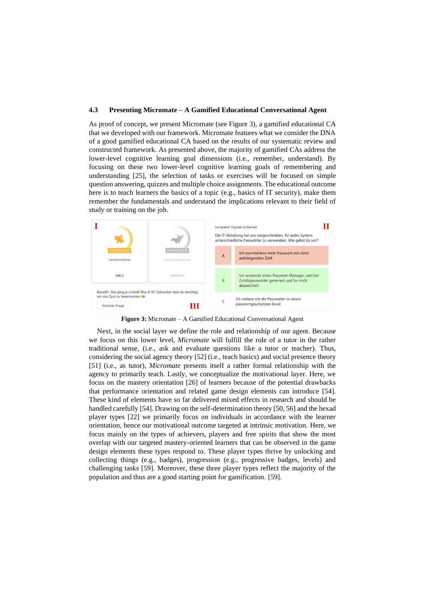#### **4.3 Presenting Micromate – A Gamified Educational Conversational Agent**

As proof of concept, we present Micromate (see Figure 3), a gamified educational CA that we developed with our framework. Micromate features what we consider the DNA of a good gamified educational CA based on the results of our systematic review and constructed framework. As presented above, the majority of gamified CAs address the lower-level cognitive learning goal dimensions (i.e., remember, understand). By focusing on these two lower-level cognitive learning goals of remembering and understanding [25], the selection of tasks or exercises will be focused on simple question answering, quizzes and multiple choice assignments. The educational outcome here is to teach learners the basics of a topic (e.g., basics of IT security), make them remember the fundamentals and understand the implications relevant to their field of study or training on the job.



**Figure 3:** Micromate – A Gamified Educational Conversational Agent

Next, in the social layer we define the role and relationship of our agent. Because we focus on this lower level, *Micromate* will fulfill the role of a tutor in the rather traditional sense, (i.e., ask and evaluate questions like a tutor or teacher). Thus, considering the social agency theory [52] (i.e., teach basics) and social presence theory [51] (i.e., as tutor), *Micromate* presents itself a rather formal relationship with the agency to primarily teach. Lastly, we conceptualize the motivational layer. Here, we focus on the mastery orientation [26] of learners because of the potential drawbacks that performance orientation and related game design elements can introduce [54]. These kind of elements have so far delivered mixed effects in research and should be handled carefully [54]. Drawing on the self-determination theory [50, 56] and the hexad player types [22] we primarily focus on individuals in accordance with the learner orientation, hence our motivational outcome targeted at intrinsic motivation. Here, we focus mainly on the types of achievers, players and free spirits that show the most overlap with our targeted mastery-oriented learners that can be observed in the game design elements these types respond to. These player types thrive by unlocking and collecting things (e.g., badges), progression (e.g., progressive badges, levels) and challenging tasks [59]. Moreover, these three player types reflect the majority of the population and thus are a good starting point for gamification. [59].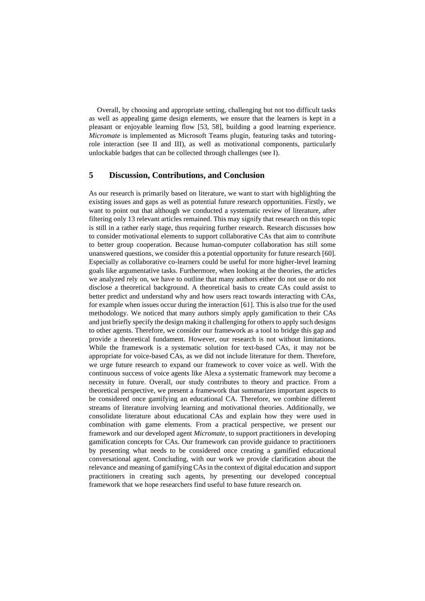Overall, by choosing and appropriate setting, challenging but not too difficult tasks as well as appealing game design elements, we ensure that the learners is kept in a pleasant or enjoyable learning flow [53, 58], building a good learning experience. *Micromate* is implemented as Microsoft Teams plugin, featuring tasks and tutoringrole interaction (see II and III), as well as motivational components, particularly unlockable badges that can be collected through challenges (see I).

## **5 Discussion, Contributions, and Conclusion**

As our research is primarily based on literature, we want to start with highlighting the existing issues and gaps as well as potential future research opportunities. Firstly, we want to point out that although we conducted a systematic review of literature, after filtering only 13 relevant articles remained. This may signify that research on this topic is still in a rather early stage, thus requiring further research. Research discusses how to consider motivational elements to support collaborative CAs that aim to contribute to better group cooperation. Because human-computer collaboration has still some unanswered questions, we consider this a potential opportunity for future research [60]. Especially as collaborative co-learners could be useful for more higher-level learning goals like argumentative tasks. Furthermore, when looking at the theories, the articles we analyzed rely on, we have to outline that many authors either do not use or do not disclose a theoretical background. A theoretical basis to create CAs could assist to better predict and understand why and how users react towards interacting with CAs, for example when issues occur during the interaction [61]. This is also true for the used methodology. We noticed that many authors simply apply gamification to their CAs and just briefly specify the design making it challenging for others to apply such designs to other agents. Therefore, we consider our framework as a tool to bridge this gap and provide a theoretical fundament. However, our research is not without limitations. While the framework is a systematic solution for text-based CAs, it may not be appropriate for voice-based CAs, as we did not include literature for them. Therefore, we urge future research to expand our framework to cover voice as well. With the continuous success of voice agents like Alexa a systematic framework may become a necessity in future. Overall, our study contributes to theory and practice. From a theoretical perspective, we present a framework that summarizes important aspects to be considered once gamifying an educational CA. Therefore, we combine different streams of literature involving learning and motivational theories. Additionally, we consolidate literature about educational CAs and explain how they were used in combination with game elements. From a practical perspective, we present our framework and our developed agent *Micromate*, to support practitioners in developing gamification concepts for CAs. Our framework can provide guidance to practitioners by presenting what needs to be considered once creating a gamified educational conversational agent. Concluding, with our work we provide clarification about the relevance and meaning of gamifying CAs in the context of digital education and support practitioners in creating such agents, by presenting our developed conceptual framework that we hope researchers find useful to base future research on.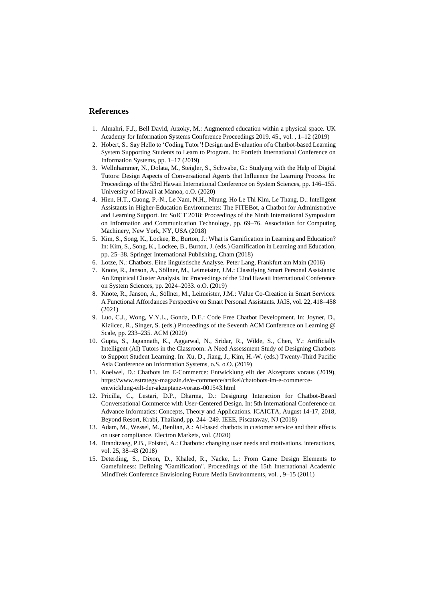### **References**

- 1. Almahri, F.J., Bell David, Arzoky, M.: Augmented education within a physical space. UK Academy for Information Systems Conference Proceedings 2019. 45., vol. , 1–12 (2019)
- 2. Hobert, S.: Say Hello to 'Coding Tutor'! Design and Evaluation of a Chatbot-based Learning System Supporting Students to Learn to Program. In: Fortieth International Conference on Information Systems, pp. 1–17 (2019)
- 3. Wellnhammer, N., Dolata, M., Steigler, S., Schwabe, G.: Studying with the Help of Digital Tutors: Design Aspects of Conversational Agents that Influence the Learning Process. In: Proceedings of the 53rd Hawaii International Conference on System Sciences, pp. 146–155. University of Hawai'i at Manoa, o.O. (2020)
- 4. Hien, H.T., Cuong, P.-N., Le Nam, N.H., Nhung, Ho Le Thi Kim, Le Thang, D.: Intelligent Assistants in Higher-Education Environments: The FITEBot, a Chatbot for Administrative and Learning Support. In: SoICT 2018: Proceedings of the Ninth International Symposium on Information and Communication Technology, pp. 69–76. Association for Computing Machinery, New York, NY, USA (2018)
- 5. Kim, S., Song, K., Lockee, B., Burton, J.: What is Gamification in Learning and Education? In: Kim, S., Song, K., Lockee, B., Burton, J. (eds.) Gamification in Learning and Education, pp. 25–38. Springer International Publishing, Cham (2018)
- 6. Lotze, N.: Chatbots. Eine linguistische Analyse. Peter Lang, Frankfurt am Main (2016)
- 7. Knote, R., Janson, A., Söllner, M., Leimeister, J.M.: Classifying Smart Personal Assistants: An Empirical Cluster Analysis. In: Proceedings of the 52nd Hawaii International Conference on System Sciences, pp. 2024–2033. o.O. (2019)
- 8. Knote, R., Janson, A., Söllner, M., Leimeister, J.M.: Value Co-Creation in Smart Services: A Functional Affordances Perspective on Smart Personal Assistants. JAIS, vol. 22, 418–458 (2021)
- 9. Luo, C.J., Wong, V.Y.L., Gonda, D.E.: Code Free Chatbot Development. In: Joyner, D., Kizilcec, R., Singer, S. (eds.) Proceedings of the Seventh ACM Conference on Learning @ Scale, pp. 233–235. ACM (2020)
- 10. Gupta, S., Jagannath, K., Aggarwal, N., Sridar, R., Wilde, S., Chen, Y.: Artificially Intelligent (AI) Tutors in the Classroom: A Need Assessment Study of Designing Chatbots to Support Student Learning. In: Xu, D., Jiang, J., Kim, H.-W. (eds.) Twenty-Third Pacific Asia Conference on Information Systems, o.S. o.O. (2019)
- 11. Koelwel, D.: Chatbots im E-Commerce: Entwicklung eilt der Akzeptanz voraus (2019), https://www.estrategy-magazin.de/e-commerce/artikel/chatobots-im-e-commerceentwicklung-eilt-der-akzeptanz-voraus-001543.html
- 12. Pricilla, C., Lestari, D.P., Dharma, D.: Designing Interaction for Chatbot-Based Conversational Commerce with User-Centered Design. In: 5th International Conference on Advance Informatics: Concepts, Theory and Applications. ICAICTA, August 14-17, 2018, Beyond Resort, Krabi, Thailand, pp. 244–249. IEEE, Piscataway, NJ (2018)
- 13. Adam, M., Wessel, M., Benlian, A.: AI-based chatbots in customer service and their effects on user compliance. Electron Markets, vol. (2020)
- 14. Brandtzaeg, P.B., Folstad, A.: Chatbots: changing user needs and motivations. interactions, vol. 25, 38–43 (2018)
- 15. Deterding, S., Dixon, D., Khaled, R., Nacke, L.: From Game Design Elements to Gamefulness: Defining "Gamification". Proceedings of the 15th International Academic MindTrek Conference Envisioning Future Media Environments, vol. , 9–15 (2011)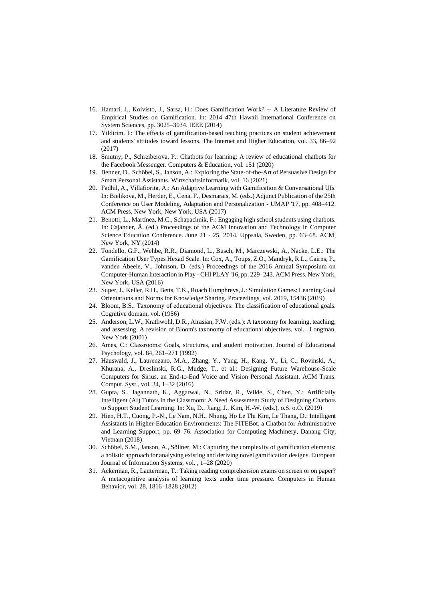- 16. Hamari, J., Koivisto, J., Sarsa, H.: Does Gamification Work? -- A Literature Review of Empirical Studies on Gamification. In: 2014 47th Hawaii International Conference on System Sciences, pp. 3025–3034. IEEE (2014)
- 17. Yildirim, I.: The effects of gamification-based teaching practices on student achievement and students' attitudes toward lessons. The Internet and Higher Education, vol. 33, 86–92 (2017)
- 18. Smutny, P., Schreiberova, P.: Chatbots for learning: A review of educational chatbots for the Facebook Messenger. Computers & Education, vol. 151 (2020)
- 19. Benner, D., Schöbel, S., Janson, A.: Exploring the State-of-the-Art of Persuasive Design for Smart Personal Assistants. Wirtschaftsinformatik, vol. 16 (2021)
- 20. Fadhil, A., Villafiorita, A.: An Adaptive Learning with Gamification & Conversational UIs. In: Bielikova, M., Herder, E., Cena, F., Desmarais, M. (eds.) Adjunct Publication of the 25th Conference on User Modeling, Adaptation and Personalization - UMAP '17, pp. 408–412. ACM Press, New York, New York, USA (2017)
- 21. Benotti, L., Martínez, M.C., Schapachnik, F.: Engaging high school students using chatbots. In: Cajander, Å. (ed.) Proceedings of the ACM Innovation and Technology in Computer Science Education Conference. June 21 - 25, 2014, Uppsala, Sweden, pp. 63–68. ACM, New York, NY (2014)
- 22. Tondello, G.F., Wehbe, R.R., Diamond, L., Busch, M., Marczewski, A., Nacke, L.E.: The Gamification User Types Hexad Scale. In: Cox, A., Toups, Z.O., Mandryk, R.L., Cairns, P., vanden Abeele, V., Johnson, D. (eds.) Proceedings of the 2016 Annual Symposium on Computer-Human Interaction in Play - CHI PLAY '16, pp. 229–243. ACM Press, New York, New York, USA (2016)
- 23. Super, J., Keller, R.H., Betts, T.K., Roach Humphreys, J.: Simulation Games: Learning Goal Orientations and Norms for Knowledge Sharing. Proceedings, vol. 2019, 15436 (2019)
- 24. Bloom, B.S.: Taxonomy of educational objectives: The classification of educational goals. Cognitive domain, vol. (1956)
- 25. Anderson, L.W., Krathwohl, D.R., Airasian, P.W. (eds.): A taxonomy for learning, teaching, and assessing. A revision of Bloom's taxonomy of educational objectives, vol. . Longman, New York (2001)
- 26. Ames, C.: Classrooms: Goals, structures, and student motivation. Journal of Educational Psychology, vol. 84, 261–271 (1992)
- 27. Hauswald, J., Laurenzano, M.A., Zhang, Y., Yang, H., Kang, Y., Li, C., Rovinski, A., Khurana, A., Dreslinski, R.G., Mudge, T., et al.: Designing Future Warehouse-Scale Computers for Sirius, an End-to-End Voice and Vision Personal Assistant. ACM Trans. Comput. Syst., vol. 34, 1–32 (2016)
- 28. Gupta, S., Jagannath, K., Aggarwal, N., Sridar, R., Wilde, S., Chen, Y.: Artificially Intelligent (AI) Tutors in the Classroom: A Need Assessment Study of Designing Chatbots to Support Student Learning. In: Xu, D., Jiang, J., Kim, H.-W. (eds.), o.S. o.O. (2019)
- 29. Hien, H.T., Cuong, P.-N., Le Nam, N.H., Nhung, Ho Le Thi Kim, Le Thang, D.: Intelligent Assistants in Higher-Education Environments: The FITEBot, a Chatbot for Administrative and Learning Support, pp. 69–76. Association for Computing Machinery, Danang City, Vietnam (2018)
- 30. Schöbel, S.M., Janson, A., Söllner, M.: Capturing the complexity of gamification elements: a holistic approach for analysing existing and deriving novel gamification designs. European Journal of Information Systems, vol. , 1–28 (2020)
- 31. Ackerman, R., Lauterman, T.: Taking reading comprehension exams on screen or on paper? A metacognitive analysis of learning texts under time pressure. Computers in Human Behavior, vol. 28, 1816–1828 (2012)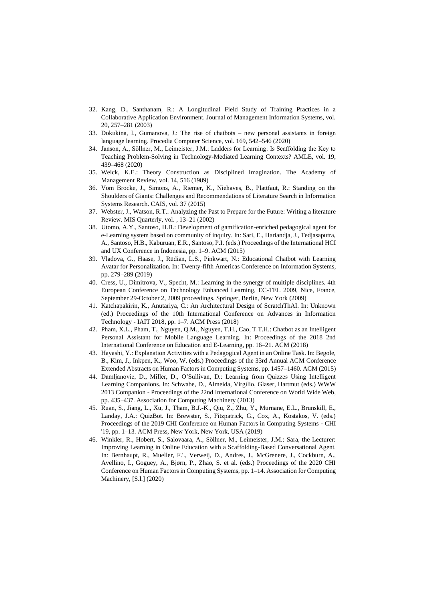- 32. Kang, D., Santhanam, R.: A Longitudinal Field Study of Training Practices in a Collaborative Application Environment. Journal of Management Information Systems, vol. 20, 257–281 (2003)
- 33. Dokukina, I., Gumanova, J.: The rise of chatbots new personal assistants in foreign language learning. Procedia Computer Science, vol. 169, 542–546 (2020)
- 34. Janson, A., Söllner, M., Leimeister, J.M.: Ladders for Learning: Is Scaffolding the Key to Teaching Problem-Solving in Technology-Mediated Learning Contexts? AMLE, vol. 19, 439–468 (2020)
- 35. Weick, K.E.: Theory Construction as Disciplined Imagination. The Academy of Management Review, vol. 14, 516 (1989)
- 36. Vom Brocke, J., Simons, A., Riemer, K., Niehaves, B., Plattfaut, R.: Standing on the Shoulders of Giants: Challenges and Recommendations of Literature Search in Information Systems Research. CAIS, vol. 37 (2015)
- 37. Webster, J., Watson, R.T.: Analyzing the Past to Prepare for the Future: Writing a literature Review. MIS Quarterly, vol. , 13–21 (2002)
- 38. Utomo, A.Y., Santoso, H.B.: Development of gamification-enriched pedagogical agent for e-Learning system based on community of inquiry. In: Sari, E., Hariandja, J., Tedjasaputra, A., Santoso, H.B., Kaburuan, E.R., Santoso, P.I. (eds.) Proceedings of the International HCI and UX Conference in Indonesia, pp. 1–9. ACM (2015)
- 39. Vladova, G., Haase, J., Rüdian, L.S., Pinkwart, N.: Educational Chatbot with Learning Avatar for Personalization. In: Twenty-fifth Americas Conference on Information Systems, pp. 279–289 (2019)
- 40. Cress, U., Dimitrova, V., Specht, M.: Learning in the synergy of multiple disciplines. 4th European Conference on Technology Enhanced Learning, EC-TEL 2009, Nice, France, September 29-October 2, 2009 proceedings. Springer, Berlin, New York (2009)
- 41. Katchapakirin, K., Anutariya, C.: An Architectural Design of ScratchThAI. In: Unknown (ed.) Proceedings of the 10th International Conference on Advances in Information Technology - IAIT 2018, pp. 1–7. ACM Press (2018)
- 42. Pham, X.L., Pham, T., Nguyen, Q.M., Nguyen, T.H., Cao, T.T.H.: Chatbot as an Intelligent Personal Assistant for Mobile Language Learning. In: Proceedings of the 2018 2nd International Conference on Education and E-Learning, pp. 16–21. ACM (2018)
- 43. Hayashi, Y.: Explanation Activities with a Pedagogical Agent in an Online Task. In: Begole, B., Kim, J., Inkpen, K., Woo, W. (eds.) Proceedings of the 33rd Annual ACM Conference Extended Abstracts on Human Factors in Computing Systems, pp. 1457–1460. ACM (2015)
- 44. Damljanovic, D., Miller, D., O'Sullivan, D.: Learning from Quizzes Using Intelligent Learning Companions. In: Schwabe, D., Almeida, Virgílio, Glaser, Hartmut (eds.) WWW 2013 Companion - Proceedings of the 22nd International Conference on World Wide Web, pp. 435–437. Association for Computing Machinery (2013)
- 45. Ruan, S., Jiang, L., Xu, J., Tham, B.J.-K., Qiu, Z., Zhu, Y., Murnane, E.L., Brunskill, E., Landay, J.A.: QuizBot. In: Brewster, S., Fitzpatrick, G., Cox, A., Kostakos, V. (eds.) Proceedings of the 2019 CHI Conference on Human Factors in Computing Systems - CHI '19, pp. 1–13. ACM Press, New York, New York, USA (2019)
- 46. Winkler, R., Hobert, S., Salovaara, A., Söllner, M., Leimeister, J.M.: Sara, the Lecturer: Improving Learning in Online Education with a Scaffolding-Based Conversational Agent. In: Bernhaupt, R., Mueller, F.'., Verweij, D., Andres, J., McGrenere, J., Cockburn, A., Avellino, I., Goguey, A., Bjørn, P., Zhao, S. et al. (eds.) Proceedings of the 2020 CHI Conference on Human Factors in Computing Systems, pp. 1–14. Association for Computing Machinery, [S.l.] (2020)